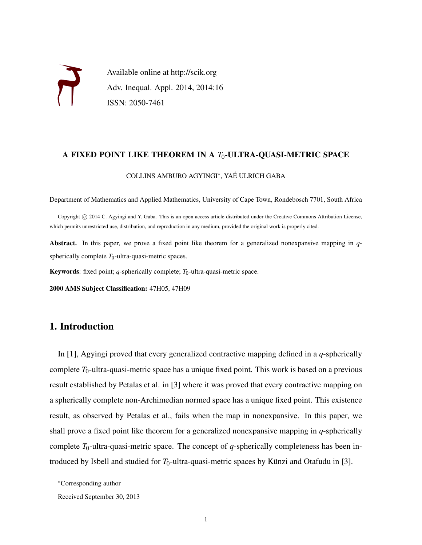

### A FIXED POINT LIKE THEOREM IN A *T*0-ULTRA-QUASI-METRIC SPACE

### COLLINS AMBURO AGYINGI<sup>∗</sup> , YAE ULRICH GABA ´

Department of Mathematics and Applied Mathematics, University of Cape Town, Rondebosch 7701, South Africa

Copyright © 2014 C. Agyingi and Y. Gaba. This is an open access article distributed under the Creative Commons Attribution License, which permits unrestricted use, distribution, and reproduction in any medium, provided the original work is properly cited.

Abstract. In this paper, we prove a fixed point like theorem for a generalized nonexpansive mapping in *q*spherically complete  $T_0$ -ultra-quasi-metric spaces.

Keywords: fixed point;  $q$ -spherically complete;  $T_0$ -ultra-quasi-metric space.

2000 AMS Subject Classification: 47H05, 47H09

## 1. Introduction

In [1], Agyingi proved that every generalized contractive mapping defined in a *q*-spherically complete  $T_0$ -ultra-quasi-metric space has a unique fixed point. This work is based on a previous result established by Petalas et al. in [3] where it was proved that every contractive mapping on a spherically complete non-Archimedian normed space has a unique fixed point. This existence result, as observed by Petalas et al., fails when the map in nonexpansive. In this paper, we shall prove a fixed point like theorem for a generalized nonexpansive mapping in *q*-spherically complete  $T_0$ -ultra-quasi-metric space. The concept of *q*-spherically completeness has been introduced by Isbell and studied for  $T_0$ -ultra-quasi-metric spaces by Künzi and Otafudu in [3].

<sup>∗</sup>Corresponding author

Received September 30, 2013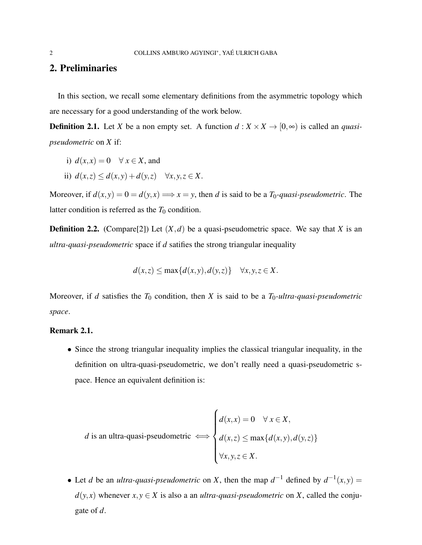## 2. Preliminaries

In this section, we recall some elementary definitions from the asymmetric topology which are necessary for a good understanding of the work below.

**Definition 2.1.** Let *X* be a non empty set. A function  $d : X \times X \to [0, \infty)$  is called an *quasipseudometric* on *X* if:

- i)  $d(x, x) = 0 \quad \forall x \in X$ , and
- ii)  $d(x, z) \leq d(x, y) + d(y, z) \quad \forall x, y, z \in X$ .

Moreover, if  $d(x, y) = 0 = d(y, x) \implies x = y$ , then *d* is said to be a *T*<sub>0</sub>*-quasi-pseudometric*. The latter condition is referred as the  $T_0$  condition.

**Definition 2.2.** (Compare[2]) Let  $(X,d)$  be a quasi-pseudometric space. We say that *X* is an *ultra-quasi-pseudometric* space if *d* satifies the strong triangular inequality

$$
d(x, z) \le \max\{d(x, y), d(y, z)\} \quad \forall x, y, z \in X.
$$

Moreover, if *d* satisfies the  $T_0$  condition, then *X* is said to be a  $T_0$ -ultra-quasi-pseudometric *space*.

### Remark 2.1.

• Since the strong triangular inequality implies the classical triangular inequality, in the definition on ultra-quasi-pseudometric, we don't really need a quasi-pseudometric space. Hence an equivalent definition is:

*d* is an ultra-quasi-pseudometric 
$$
\iff
$$
 
$$
\begin{cases} d(x,x) = 0 & \forall x \in X, \\ d(x,z) \le \max\{d(x,y), d(y,z)\} \\ \forall x, y, z \in X. \end{cases}
$$

• Let *d* be an *ultra-quasi-pseudometric* on *X*, then the map  $d^{-1}$  defined by  $d^{-1}(x, y) =$  $d(y, x)$  whenever  $x, y \in X$  is also a an *ultra-quasi-pseudometric* on X, called the conjugate of *d*.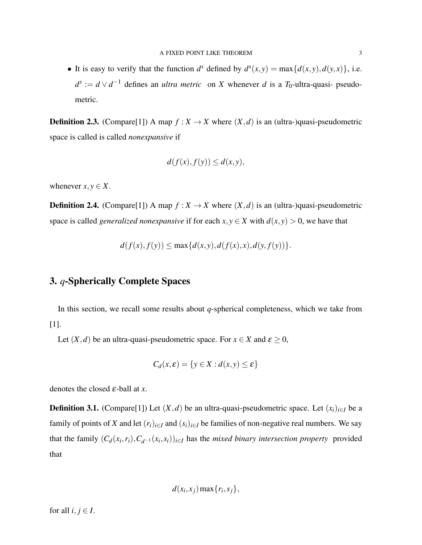• It is easy to verify that the function  $d^s$  defined by  $d^s(x, y) = \max\{d(x, y), d(y, x)\}\)$ , i.e.  $d^{s} := d \vee d^{-1}$  defines an *ultra metric* on *X* whenever *d* is a *T*<sub>0</sub>-ultra-quasi- pseudometric.

**Definition 2.3.** (Compare[1]) A map  $f: X \to X$  where  $(X, d)$  is an (ultra-)quasi-pseudometric space is called is called *nonexpansive* if

$$
d(f(x), f(y)) \le d(x, y),
$$

whenever  $x, y \in X$ .

**Definition 2.4.** (Compare[1]) A map  $f: X \to X$  where  $(X,d)$  is an (ultra-)quasi-pseudometric space is called *generalized nonexpansive* if for each  $x, y \in X$  with  $d(x, y) > 0$ , we have that

$$
d(f(x), f(y)) \le \max\{d(x, y), d(f(x), x), d(y, f(y))\}.
$$

# 3. *q*-Spherically Complete Spaces

In this section, we recall some results about *q*-spherical completeness, which we take from [1].

Let  $(X, d)$  be an ultra-quasi-pseudometric space. For  $x \in X$  and  $\varepsilon \ge 0$ ,

$$
C_d(x,\varepsilon) = \{y \in X : d(x,y) \le \varepsilon\}
$$

denotes the closed ε-ball at *x*.

**Definition 3.1.** (Compare[1]) Let  $(X, d)$  be an ultra-quasi-pseudometric space. Let  $(x_i)_{i \in I}$  be a family of points of *X* and let  $(r_i)_{i \in I}$  and  $(s_i)_{i \in I}$  be families of non-negative real numbers. We say that the family  $(C_d(x_i, r_i), C_{d^{-1}}(x_i, s_i))_{i \in I}$  has the *mixed binary intersection property* provided that

$$
d(x_i, x_j) \max\{r_i, s_j\},\
$$

for all  $i, j \in I$ .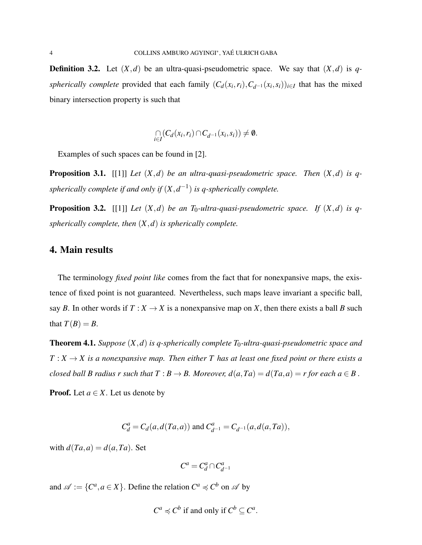**Definition 3.2.** Let  $(X,d)$  be an ultra-quasi-pseudometric space. We say that  $(X,d)$  is q*spherically complete* provided that each family  $(C_d(x_i, r_i), C_{d^{-1}}(x_i, s_i))_{i \in I}$  that has the mixed binary intersection property is such that

$$
\bigcap_{i\in I}(C_d(x_i,r_i)\cap C_{d^{-1}}(x_i,s_i))\neq\emptyset.
$$

Examples of such spaces can be found in [2].

Proposition 3.1. [[1]] *Let* (*X*,*d*) *be an ultra-quasi-pseudometric space. Then* (*X*,*d*) *is qspherically complete if and only if*  $(X, d^{-1})$  *is q-spherically complete.* 

**Proposition 3.2.** [[1]] *Let*  $(X,d)$  *be an T*<sub>0</sub>*-ultra-quasi-pseudometric space. If*  $(X,d)$  *is qspherically complete, then* (*X*,*d*) *is spherically complete.*

## 4. Main results

The terminology *fixed point like* comes from the fact that for nonexpansive maps, the existence of fixed point is not guaranteed. Nevertheless, such maps leave invariant a specific ball, say *B*. In other words if  $T : X \to X$  is a nonexpansive map on *X*, then there exists a ball *B* such that  $T(B) = B$ .

Theorem 4.1. *Suppose* (*X*,*d*) *is q-spherically complete T*0*-ultra-quasi-pseudometric space and*  $T: X \to X$  is a nonexpansive map. Then either T has at least one fixed point or there exists a *closed ball B radius r such that*  $T : B \to B$ *. Moreover,*  $d(a, Ta) = d(Ta, a) = r$  *for each*  $a \in B$ *.* 

**Proof.** Let  $a \in X$ . Let us denote by

$$
C_d^a = C_d(a, d(Ta, a))
$$
 and  $C_{d^{-1}}^a = C_{d^{-1}}(a, d(a, Ta)),$ 

with  $d(Ta,a) = d(a,Ta)$ . Set

$$
C^a = C_d^a \cap C_{d^{-1}}^a
$$

and  $\mathscr{A} := \{C^a, a \in X\}$ . Define the relation  $C^a \preccurlyeq C^b$  on  $\mathscr{A}$  by

$$
C^a \preccurlyeq C^b
$$
 if and only if  $C^b \subseteq C^a$ .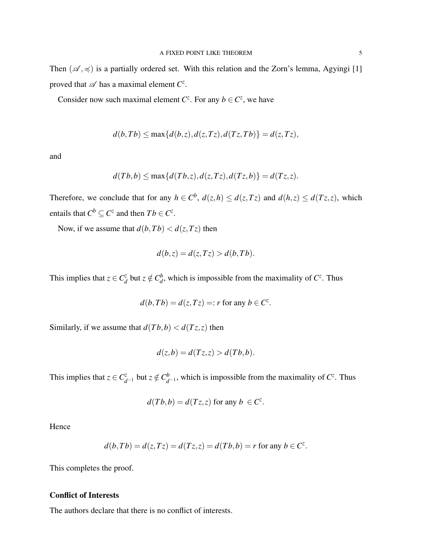Then  $(\mathscr{A}, \preccurlyeq)$  is a partially ordered set. With this relation and the Zorn's lemma, Agyingi [1] proved that  $\mathscr A$  has a maximal element  $C^z$ .

Consider now such maximal element  $C^z$ . For any  $b \in C^z$ , we have

$$
d(b,Tb) \le \max\{d(b,z), d(z,Tz), d(Tz,Tb)\} = d(z,Tz),
$$

and

$$
d(Tb,b) \le \max\{d(Tb,z),d(z,Tz),d(Tz,b)\} = d(Tz,z).
$$

Therefore, we conclude that for any  $h \in C^b$ ,  $d(z,h) \leq d(z,Tz)$  and  $d(h,z) \leq d(Tz,z)$ , which entails that  $C^b \subseteq C^z$  and then  $Tb \in C^z$ .

Now, if we assume that  $d(b, Tb) < d(z, Tz)$  then

$$
d(b, z) = d(z, Tz) > d(b, Tb).
$$

This implies that  $z \in C_d^z$  $\frac{dz}{d}$  but  $z \notin C_d^b$  $\frac{b}{d}$ , which is impossible from the maximality of  $C^z$ . Thus

$$
d(b,Tb) = d(z,Tz) =: r \text{ for any } b \in C^z.
$$

Similarly, if we assume that  $d(Tb, b) < d(Tz, z)$  then

$$
d(z,b) = d(Tz,z) > d(Tb,b).
$$

This implies that  $z \in C^z_{d^{-1}}$  but  $z \notin C^b_d$  $_{d^{-1}}^b$ , which is impossible from the maximality of *C*<sup> $z$ </sup>. Thus

$$
d(Tb,b) = d(Tz,z) \text{ for any } b \in C^z.
$$

Hence

$$
d(b,Tb) = d(z,Tz) = d(Tz,z) = d(Tb,b) = r
$$
 for any  $b \in C^z$ .

This completes the proof.

### Conflict of Interests

The authors declare that there is no conflict of interests.